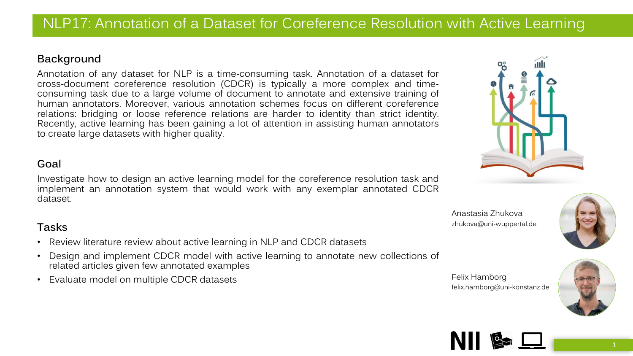# NLP17: Annotation of a Dataset for Coreference Resolution with Active Learning

#### **Background**

Annotation of any dataset for NLP is a time-consuming task. Annotation of a dataset for cross-document coreference resolution (CDCR) is typically a more complex and timeconsuming task due to a large volume of document to annotate and extensive training of human annotators. Moreover, various annotation schemes focus on different coreference relations: bridging or loose reference relations are harder to identity than strict identity. Recently, active learning has been gaining a lot of attention in assisting human annotators to create large datasets with higher quality.

### **Goal**

Investigate how to design an active learning model for the coreference resolution task and implement an annotation system that would work with any exemplar annotated CDCR dataset.

## **Tasks**

- Review literature review about active learning in NLP and CDCR datasets
- Design and implement CDCR model with active learning to annotate new collections of related articles given few annotated examples
- Evaluate model on multiple CDCR datasets

Anastasia Zhukova zhukova@uni-wuppertal.de

Felix Hamborg







felix.hamborg@uni-konstanz.de

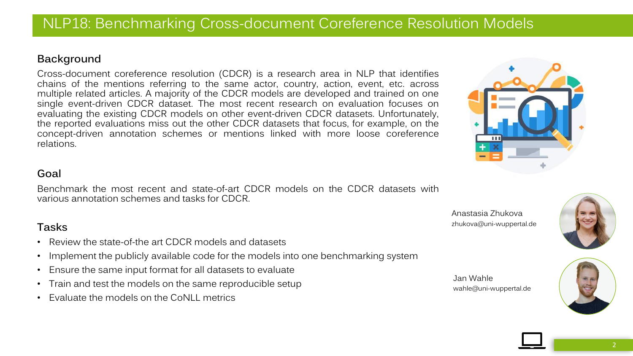## NLP18: Benchmarking Cross-document Coreference Resolution Models

#### **Background**

Cross-document coreference resolution (CDCR) is a research area in NLP that identifies chains of the mentions referring to the same actor, country, action, event, etc. across multiple related articles. A majority of the CDCR models are developed and trained on one single event-driven CDCR dataset. The most recent research on evaluation focuses on evaluating the existing CDCR models on other event-driven CDCR datasets. Unfortunately, the reported evaluations miss out the other CDCR datasets that focus, for example, on the concept-driven annotation schemes or mentions linked with more loose coreference relations.

#### **Goal**

Benchmark the most recent and state-of-art CDCR models on the CDCR datasets with various annotation schemes and tasks for CDCR.

#### **Tasks**

- Review the state-of-the art CDCR models and datasets
- Implement the publicly available code for the models into one benchmarking system
- Ensure the same input format for all datasets to evaluate
- Train and test the models on the same reproducible setup
- Evaluate the models on the CoNLL metrics







Jan Wahle wahle@uni-wuppertal.de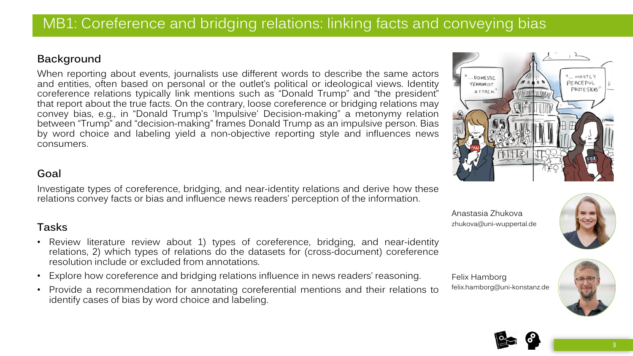#### **Background**

When reporting about events, journalists use different words to describe the same actors and entities, often based on personal or the outlet's political or ideological views. Identity coreference relations typically link mentions such as "Donald Trump" and "the president" that report about the true facts. On the contrary, loose coreference or bridging relations may convey bias, e.g., in "Donald Trump's 'Impulsive' Decision-making" a metonymy relation between "Trump" and "decision-making" frames Donald Trump as an impulsive person. Bias by word choice and labeling yield a non-objective reporting style and influences news consumers.

## **Goal**

Investigate types of coreference, bridging, and near-identity relations and derive how these relations convey facts or bias and influence news readers' perception of the information.

## **Tasks**

- Review literature review about 1) types of coreference, bridging, and near-identity relations, 2) which types of relations do the datasets for (cross-document) coreference resolution include or excluded from annotations.
- Explore how coreference and bridging relations influence in news readers' reasoning.
- Provide a recommendation for annotating coreferential mentions and their relations to identify cases of bias by word choice and labeling.













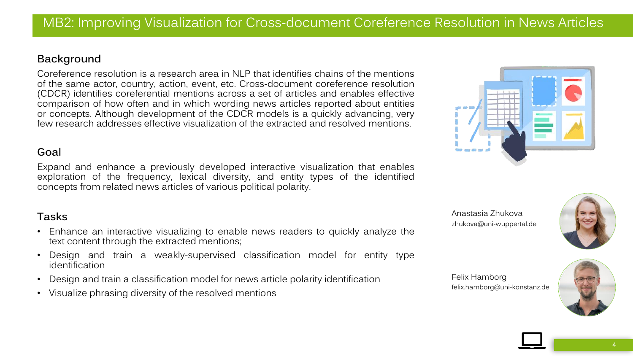### **Background**

Coreference resolution is a research area in NLP that identifies chains of the mentions of the same actor, country, action, event, etc. Cross-document coreference resolution (CDCR) identifies coreferential mentions across a set of articles and enables effective comparison of how often and in which wording news articles reported about entities or concepts. Although development of the CDCR models is a quickly advancing, very few research addresses effective visualization of the extracted and resolved mentions.

#### **Goal**

Expand and enhance a previously developed interactive visualization that enables exploration of the frequency, lexical diversity, and entity types of the identified concepts from related news articles of various political polarity.

## **Tasks**

- Enhance an interactive visualizing to enable news readers to quickly analyze the text content through the extracted mentions;
- Design and train a weakly-supervised classification model for entity type identification
- Design and train a classification model for news article polarity identification
- Visualize phrasing diversity of the resolved mentions





Felix Hamborg felix.hamborg@uni-konstanz.de

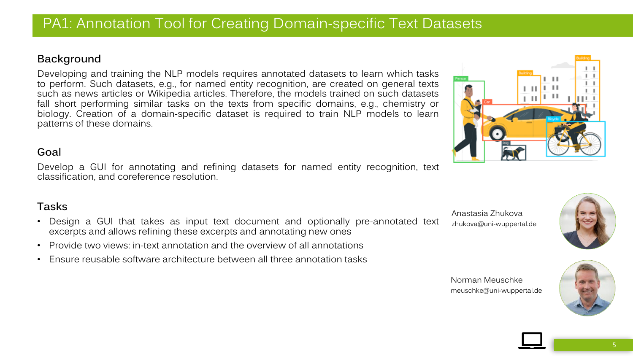## PA1: Annotation Tool for Creating Domain-specific Text Datasets

#### **Background**

Developing and training the NLP models requires annotated datasets to learn which tasks to perform. Such datasets, e.g., for named entity recognition, are created on general texts such as news articles or Wikipedia articles. Therefore, the models trained on such datasets fall short performing similar tasks on the texts from specific domains, e.g., chemistry or biology. Creation of a domain-specific dataset is required to train NLP models to learn patterns of these domains.

#### **Goal**

Develop a GUI for annotating and refining datasets for named entity recognition, text classification, and coreference resolution.

## **Tasks**

- Design a GUI that takes as input text document and optionally pre-annotated text excerpts and allows refining these excerpts and annotating new ones
- Provide two views: in-text annotation and the overview of all annotations
- Ensure reusable software architecture between all three annotation tasks

Anastasia Zhukova zhukova@uni-wuppertal.de



Norman Meuschke meuschke@uni-wuppertal.de

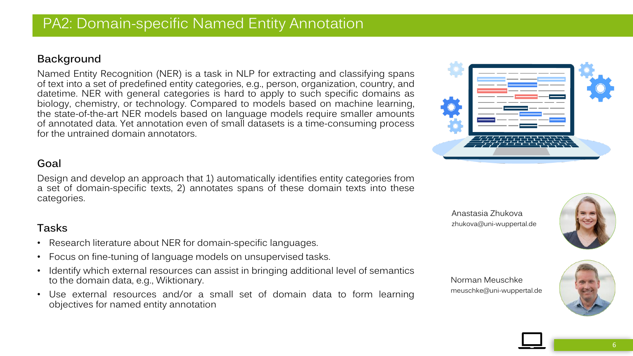# PA2: Domain-specific Named Entity Annotation

### **Background**

Named Entity Recognition (NER) is a task in NLP for extracting and classifying spans of text into a set of predefined entity categories, e.g., person, organization, country, and datetime. NER with general categories is hard to apply to such specific domains as biology, chemistry, or technology. Compared to models based on machine learning, the state-of-the-art NER models based on language models require smaller amounts of annotated data. Yet annotation even of small datasets is a time-consuming process for the untrained domain annotators.

## **Goal**

Design and develop an approach that 1) automatically identifies entity categories from a set of domain-specific texts, 2) annotates spans of these domain texts into these categories.

## **Tasks**

- Research literature about NER for domain-specific languages.
- Focus on fine-tuning of language models on unsupervised tasks.
- Identify which external resources can assist in bringing additional level of semantics to the domain data, e.g., Wiktionary.
- Use external resources and/or a small set of domain data to form learning objectives for named entity annotation







Norman Meuschke meuschke@uni-wuppertal.de

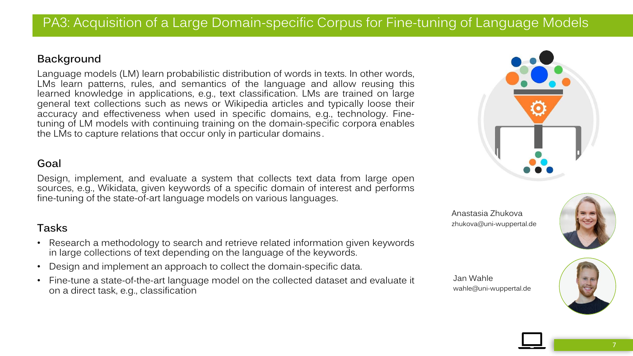## PA3: Acquisition of a Large Domain-specific Corpus for Fine-tuning of Language Models

#### **Background**

Language models (LM) learn probabilistic distribution of words in texts. In other words, LMs learn patterns, rules, and semantics of the language and allow reusing this learned knowledge in applications, e.g., text classification. LMs are trained on large general text collections such as news or Wikipedia articles and typically loose their accuracy and effectiveness when used in specific domains, e.g., technology. Finetuning of LM models with continuing training on the domain-specific corpora enables the LMs to capture relations that occur only in particular domains .

## **Goal**

Design, implement, and evaluate a system that collects text data from large open sources, e.g., Wikidata, given keywords of a specific domain of interest and performs fine-tuning of the state-of-art language models on various languages.

## **Tasks**

- Research a methodology to search and retrieve related information given keywords in large collections of text depending on the language of the keywords.
- Design and implement an approach to collect the domain-specific data.
- Fine-tune a state-of-the-art language model on the collected dataset and evaluate it on a direct task, e.g., classification



Anastasia Zhukova zhukova@uni-wuppertal.de



Jan Wahle wahle@uni-wuppertal.de